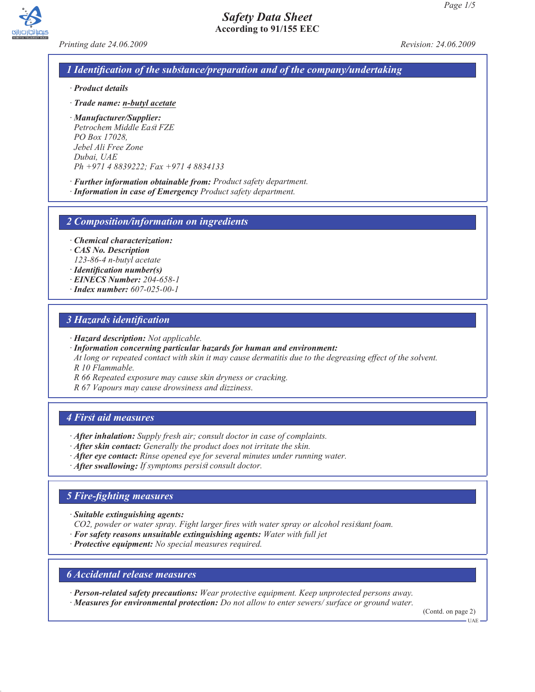



*Printing date 24.06.2009 Revision: 24.06.2009*

### *1 Identification of the substance/preparation and of the company/undertaking*

- *· Product details*
- *· Trade name: n-butyl acetate*
- *· Manufacturer/Supplier: Petrochem Middle East FZE PO Box 17028, Jebel Ali Free Zone Dubai, UAE Ph +971 4 8839222; Fax +971 4 8834133*
- *· Further information obtainable from: Product safety department.*
- *· Information in case of Emergency Product safety department.*

*2 Composition/information on ingredients*

*· Chemical characterization:*

- *· CAS No. Description 123-86-4 n-butyl acetate*
- *· Identification number(s)*
- *· EINECS Number: 204-658-1*
- *· Index number: 607-025-00-1*

### *3 Hazards identification*

- *· Hazard description: Not applicable.*
- *· Information concerning particular hazards for human and environment:*
- *At long or repeated contact with skin it may cause dermatitis due to the degreasing effect of the solvent. R 10 Flammable.*
- *R 66 Repeated exposure may cause skin dryness or cracking.*
- *R 67 Vapours may cause drowsiness and dizziness.*

### *4 First aid measures*

- *· After inhalation: Supply fresh air; consult doctor in case of complaints.*
- *· After skin contact: Generally the product does not irritate the skin.*
- *· After eye contact: Rinse opened eye for several minutes under running water.*
- *· After swallowing: If symptoms persist consult doctor.*

### *5 Fire-fighting measures*

- *· Suitable extinguishing agents:*
- *CO2, powder or water spray. Fight larger fires with water spray or alcohol resistant foam.*
- *· For safety reasons unsuitable extinguishing agents: Water with full jet*
- *· Protective equipment: No special measures required.*

### *6 Accidental release measures*

*· Person-related safety precautions: Wear protective equipment. Keep unprotected persons away. · Measures for environmental protection: Do not allow to enter sewers/ surface or ground water.*

(Contd. on page 2)

UAE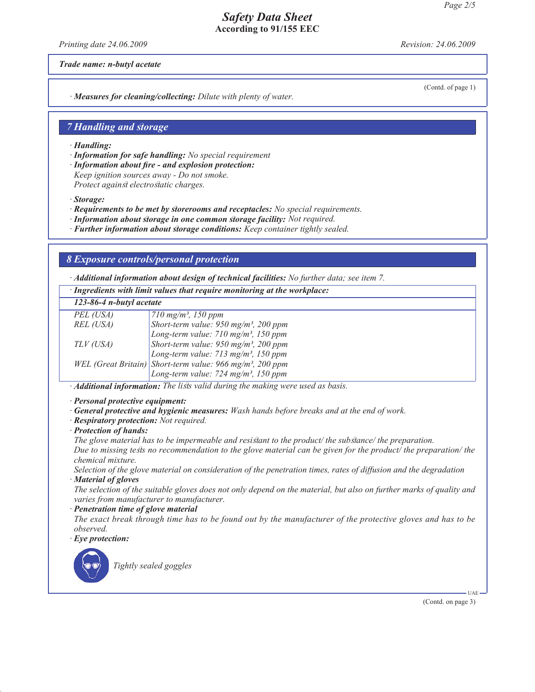*Printing date 24.06.2009 Revision: 24.06.2009*

*Trade name: n-butyl acetate*

(Contd. of page 1)

*· Measures for cleaning/collecting: Dilute with plenty of water.*

### *7 Handling and storage*

*· Handling:*

*· Information for safe handling: No special requirement*

*· Information about fire - and explosion protection: Keep ignition sources away - Do not smoke. Protect against electrostatic charges.*

*· Storage:*

- *· Requirements to be met by storerooms and receptacles: No special requirements.*
- *· Information about storage in one common storage facility: Not required.*
- *· Further information about storage conditions: Keep container tightly sealed.*

### *8 Exposure controls/personal protection*

*· Additional information about design of technical facilities: No further data; see item 7.*

*· Ingredients with limit values that require monitoring at the workplace:*

| 123-86-4 n-butyl acetate |                                                                       |  |
|--------------------------|-----------------------------------------------------------------------|--|
| PEL (USA)                | $710 \text{ mg/m}^3$ , 150 ppm                                        |  |
| REL (USA)                | Short-term value: 950 mg/m <sup>3</sup> , 200 ppm                     |  |
|                          | Long-term value: $710$ mg/m <sup>3</sup> , 150 ppm                    |  |
| TLV (USA)                | Short-term value: $950$ mg/m <sup>3</sup> , 200 ppm                   |  |
|                          | Long-term value: $713$ mg/m <sup>3</sup> , 150 ppm                    |  |
|                          | WEL (Great Britain) Short-term value: 966 mg/m <sup>3</sup> , 200 ppm |  |
|                          | Long-term value: $724$ mg/m <sup>3</sup> , 150 ppm                    |  |
|                          |                                                                       |  |

*· Additional information: The lists valid during the making were used as basis.*

- *· Personal protective equipment:*
- *· General protective and hygienic measures: Wash hands before breaks and at the end of work.*
- *· Respiratory protection: Not required.*
- *· Protection of hands:*

*The glove material has to be impermeable and resistant to the product/ the substance/ the preparation.*

*Due to missing tests no recommendation to the glove material can be given for the product/ the preparation/ the chemical mixture.*

*Selection of the glove material on consideration of the penetration times, rates of diffusion and the degradation · Material of gloves*

*The selection of the suitable gloves does not only depend on the material, but also on further marks of quality and varies from manufacturer to manufacturer.*

*· Penetration time of glove material*

*The exact break through time has to be found out by the manufacturer of the protective gloves and has to be observed.*

*· Eye protection:*



*Tightly sealed goggles*

(Contd. on page 3)

UAE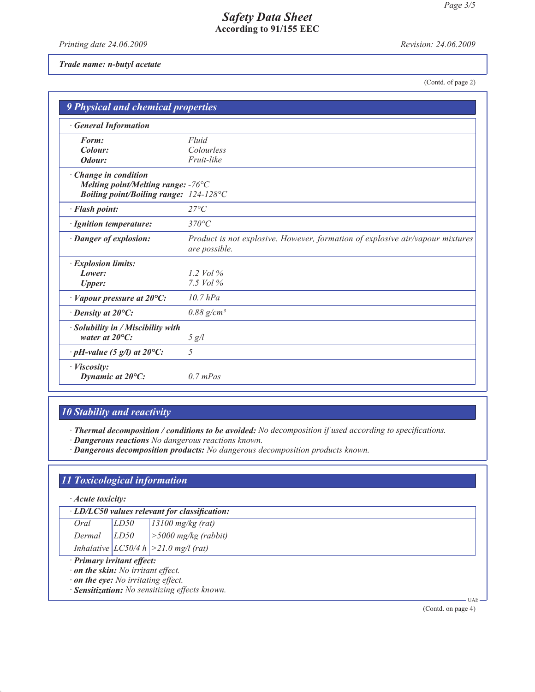*Printing date 24.06.2009 Revision: 24.06.2009*

#### *Trade name: n-butyl acetate*

(Contd. of page 2)

| <b>9 Physical and chemical properties</b>                                                                       |                                                                                                |
|-----------------------------------------------------------------------------------------------------------------|------------------------------------------------------------------------------------------------|
| <b>General Information</b>                                                                                      |                                                                                                |
| Form:<br>Colour:<br>Odour:                                                                                      | Fluid<br>Colourless<br>Fruit-like                                                              |
| · Change in condition<br>Melting point/Melting range: $-76^{\circ}$ C<br>Boiling point/Boiling range: 124-128°C |                                                                                                |
| · Flash point:                                                                                                  | $27^{\circ}C$                                                                                  |
| · Ignition temperature:                                                                                         | $370^{\circ}C$                                                                                 |
| · Danger of explosion:                                                                                          | Product is not explosive. However, formation of explosive air/vapour mixtures<br>are possible. |
| · Explosion limits:<br>Lower:<br><b>Upper:</b>                                                                  | 1.2 Vol $\%$<br>7.5 $Vol\%$                                                                    |
| $\cdot$ Vapour pressure at 20 $\rm{^{\circ}C:}$                                                                 | $10.7$ $hPa$                                                                                   |
| $\cdot$ Density at 20 $\mathrm{^{\circ}C:}$                                                                     | $0.88 \text{ g/cm}^3$                                                                          |
| · Solubility in / Miscibility with<br>water at $20^{\circ}$ C:                                                  | 5 g/l                                                                                          |
| $\cdot$ pH-value (5 g/l) at 20°C:                                                                               | 5                                                                                              |
| · Viscosity:<br>Dynamic at $20^{\circ}$ C:                                                                      | $0.7$ mPas                                                                                     |

# *10 Stability and reactivity*

*· Thermal decomposition / conditions to be avoided: No decomposition if used according to specifications. · Dangerous reactions No dangerous reactions known.*

*· Dangerous decomposition products: No dangerous decomposition products known.*

# *11 Toxicological information*

| Acute toxicity: |
|-----------------|
|                 |

| $\cdot$ LD/LC50 values relevant for classification: |      |                                           |  |
|-----------------------------------------------------|------|-------------------------------------------|--|
| Oral                                                | LD50 | $13100$ mg/kg (rat)                       |  |
|                                                     |      | Dermal $ LDS0 $ $ >5000$ mg/kg (rabbit)   |  |
|                                                     |      | Inhalative $ LCS0/4 h  > 21.0$ mg/l (rat) |  |
| · Primary irritant effect:                          |      |                                           |  |

*· on the skin: No irritant effect.*

*· on the eye: No irritating effect.*

*· Sensitization: No sensitizing effects known.*

(Contd. on page 4)

UAE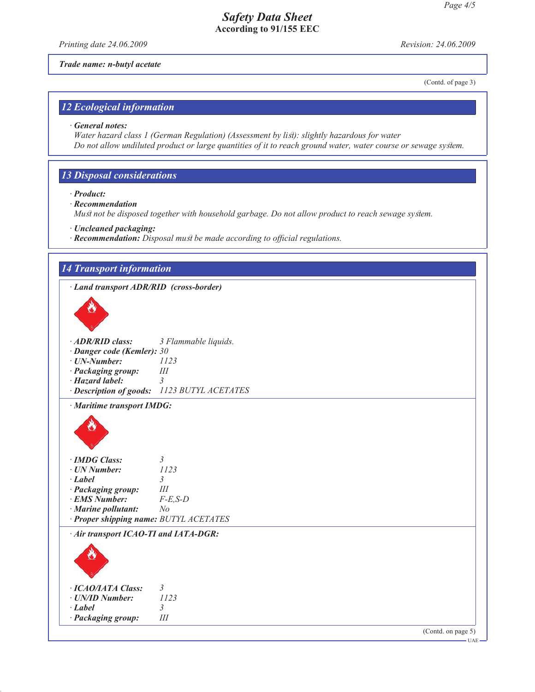*Printing date 24.06.2009 Revision: 24.06.2009*

*Trade name: n-butyl acetate*

(Contd. of page 3)

## *12 Ecological information*

#### *· General notes:*

*Water hazard class 1 (German Regulation) (Assessment by list): slightly hazardous for water Do not allow undiluted product or large quantities of it to reach ground water, water course or sewage system.*

# *13 Disposal considerations*

*· Product:*

- *· Recommendation*
- *Must not be disposed together with household garbage. Do not allow product to reach sewage system.*
- *· Uncleaned packaging:*
- *· Recommendation: Disposal must be made according to official regulations.*

| · Land transport ADR/RID (cross-border) |                                             |  |
|-----------------------------------------|---------------------------------------------|--|
|                                         |                                             |  |
| · ADR/RID class:                        | 3 Flammable liquids.                        |  |
| · Danger code (Kemler): 30              |                                             |  |
| $\cdot$ UN-Number:                      | 1123                                        |  |
| · Packaging group:                      | III                                         |  |
| · Hazard label:                         | $\mathcal{E}$                               |  |
|                                         | · Description of goods: 1123 BUTYL ACETATES |  |
| · Maritime transport IMDG:              |                                             |  |
|                                         |                                             |  |
| · IMDG Class:                           | $\mathfrak{Z}$                              |  |
| · UN Number:                            | 1123                                        |  |
| $-Label$                                | $\mathfrak{Z}$<br>$I\!I\!I$                 |  |
| · Packaging group:<br>· EMS Number:     | $F-E$ , $S-D$                               |  |
| $\cdot$ Marine pollutant:               | N <sub>o</sub>                              |  |
| · Proper shipping name: BUTYL ACETATES  |                                             |  |
| · Air transport ICAO-TI and IATA-DGR:   |                                             |  |
|                                         |                                             |  |
|                                         |                                             |  |
| · ICAO/IATA Class:                      | $\mathfrak{Z}$                              |  |
| · UN/ID Number:                         | 1123                                        |  |
| $-Label$<br>· Packaging group:          | $\mathfrak{Z}$<br>III                       |  |